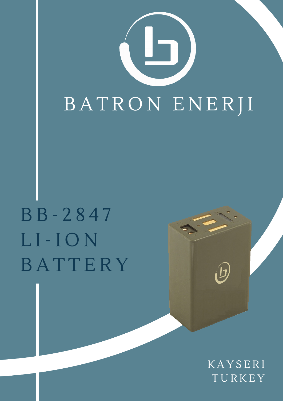

B B - 2 8 4 7 L I - I O N **BATTERY** 

> **KAYSERI TURKEY**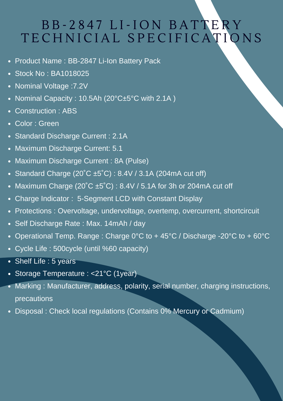## B B - 2 8 4 7 L I - I O N B A T T E R Y TECHNICIAL SPECIFICATIONS

- Product Name: BB-2847 Li-Ion Battery Pack
- Stock No: BA1018025
- Nominal Voltage : 7.2V
- Nominal Capacity : 10.5Ah (20°C±5°C with 2.1A )
- Construction : ABS
- Color : Green
- Standard Discharge Current : 2.1A
- Maximum Discharge Current: 5.1
- Maximum Discharge Current : 8A (Pulse)
- Standard Charge  $(20^{\circ}C \pm 5^{\circ}C)$  : 8.4V / 3.1A (204mA cut off)
- Maximum Charge (20°C ±5°C) : 8.4V / 5.1A for 3h or 204mA cut off
- Charge Indicator : 5-Segment LCD with Constant Display
- Protections : Overvoltage, undervoltage, overtemp, overcurrent, shortcircuit
- Self Discharge Rate : Max. 14mAh / day
- Operational Temp. Range : Charge 0°C to + 45°C / Discharge -20°C to + 60°C
- Cycle Life : 500cycle (until %60 capacity)
- Shelf Life : 5 years
- Storage Temperature : <21°C (1year)
- Marking : Manufacturer, address, polarity, serial number, charging instructions, precautions
- Disposal : Check local regulations (Contains 0% Mercury or Cadmium)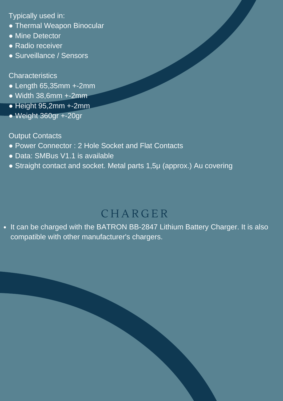Typically used in:

- Thermal Weapon Binocular
- Mine Detector
- Radio receiver
- Surveillance / Sensors

**Characteristics** 

- $\bullet$  Length 65,35mm  $+2$ mm
- Width 38,6mm +-2mm
- $\bullet$  Height 95,2mm +-2mm
- Weight 360gr +-20gr

#### Output Contacts

- Power Connector : 2 Hole Socket and Flat Contacts
- Data: SMBus V1.1 is available
- Straight contact and socket. Metal parts 1,5μ (approx.) Au covering

### **CHARGER**

• It can be charged with the BATRON BB-2847 Lithium Battery Charger. It is also compatible with other manufacturer's chargers.